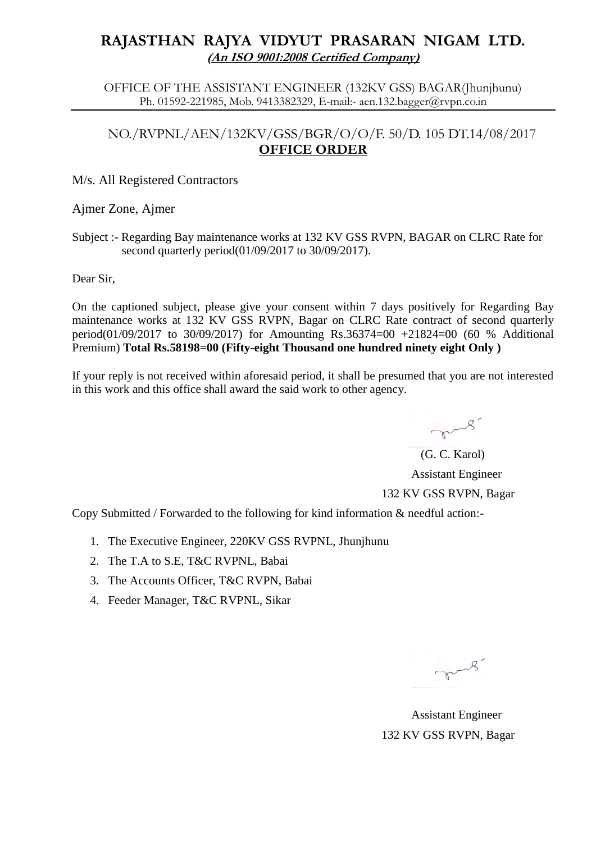# **RAJASTHAN RAJYA VIDYUT PRASARAN NIGAM LTD. (An ISO 9001:2008 Certified Company)**

OFFICE OF THE ASSISTANT ENGINEER (132KV GSS) BAGAR(Jhunjhunu) Ph. 01592-221985, Mob. 9413382329, E-mail:- aen.132.bagger@rvpn.co.in

### NO./RVPNL/AEN/132KV/GSS/BGR/O/O/F. 50/D. 105 DT.14/08/2017 **OFFICE ORDER**

#### M/s. All Registered Contractors

#### Ajmer Zone, Ajmer

Subject :- Regarding Bay maintenance works at 132 KV GSS RVPN, BAGAR on CLRC Rate for second quarterly period(01/09/2017 to 30/09/2017).

Dear Sir,

On the captioned subject, please give your consent within 7 days positively for Regarding Bay maintenance works at 132 KV GSS RVPN, Bagar on CLRC Rate contract of second quarterly period(01/09/2017 to 30/09/2017) for Amounting Rs.36374=00 +21824=00 (60 % Additional Premium) **Total Rs.58198=00 (Fifty-eight Thousand one hundred ninety eight Only )**

If your reply is not received within aforesaid period, it shall be presumed that you are not interested in this work and this office shall award the said work to other agency.

mus.

 (G. C. Karol) Assistant Engineer 132 KV GSS RVPN, Bagar

Copy Submitted / Forwarded to the following for kind information & needful action:-

- 1. The Executive Engineer, 220KV GSS RVPNL, Jhunjhunu
- 2. The T.A to S.E, T&C RVPNL, Babai
- 3. The Accounts Officer, T&C RVPN, Babai
- 4. Feeder Manager, T&C RVPNL, Sikar

mars.

 Assistant Engineer 132 KV GSS RVPN, Bagar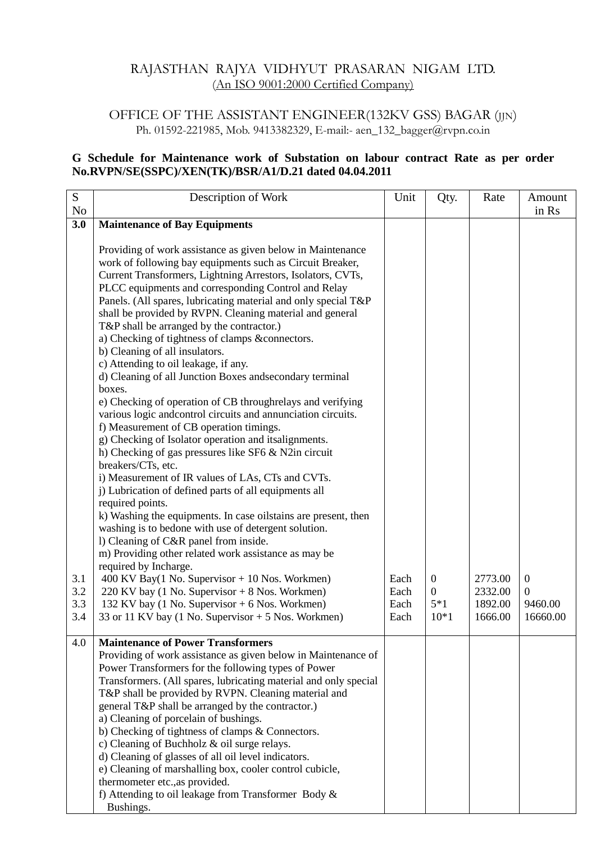### RAJASTHAN RAJYA VIDHYUT PRASARAN NIGAM LTD. (An ISO 9001:2000 Certified Company)

## OFFICE OF THE ASSISTANT ENGINEER(132KV GSS) BAGAR (JJN) Ph. 01592-221985, Mob. 9413382329, E-mail:- aen\_132\_bagger@rvpn.co.in

#### **G Schedule for Maintenance work of Substation on labour contract Rate as per order No.RVPN/SE(SSPC)/XEN(TK)/BSR/A1/D.21 dated 04.04.2011**

| S<br>No | Description of Work                                                                           | Unit | Qty.             | Rate    | Amount<br>in Rs |
|---------|-----------------------------------------------------------------------------------------------|------|------------------|---------|-----------------|
| 3.0     | <b>Maintenance of Bay Equipments</b>                                                          |      |                  |         |                 |
|         |                                                                                               |      |                  |         |                 |
|         | Providing of work assistance as given below in Maintenance                                    |      |                  |         |                 |
|         | work of following bay equipments such as Circuit Breaker,                                     |      |                  |         |                 |
|         | Current Transformers, Lightning Arrestors, Isolators, CVTs,                                   |      |                  |         |                 |
|         | PLCC equipments and corresponding Control and Relay                                           |      |                  |         |                 |
|         | Panels. (All spares, lubricating material and only special T&P                                |      |                  |         |                 |
|         | shall be provided by RVPN. Cleaning material and general                                      |      |                  |         |                 |
|         | T&P shall be arranged by the contractor.)                                                     |      |                  |         |                 |
|         | a) Checking of tightness of clamps &connectors.                                               |      |                  |         |                 |
|         | b) Cleaning of all insulators.                                                                |      |                  |         |                 |
|         | c) Attending to oil leakage, if any.                                                          |      |                  |         |                 |
|         | d) Cleaning of all Junction Boxes and secondary terminal<br>boxes.                            |      |                  |         |                 |
|         | e) Checking of operation of CB throughrelays and verifying                                    |      |                  |         |                 |
|         | various logic andcontrol circuits and annunciation circuits.                                  |      |                  |         |                 |
|         | f) Measurement of CB operation timings.                                                       |      |                  |         |                 |
|         | g) Checking of Isolator operation and itsalignments.                                          |      |                  |         |                 |
|         | h) Checking of gas pressures like SF6 & N2in circuit                                          |      |                  |         |                 |
|         | breakers/CTs, etc.                                                                            |      |                  |         |                 |
|         | i) Measurement of IR values of LAs, CTs and CVTs.                                             |      |                  |         |                 |
|         | j) Lubrication of defined parts of all equipments all                                         |      |                  |         |                 |
|         | required points.                                                                              |      |                  |         |                 |
|         | k) Washing the equipments. In case oilstains are present, then                                |      |                  |         |                 |
|         | washing is to bedone with use of detergent solution.                                          |      |                  |         |                 |
|         | 1) Cleaning of C&R panel from inside.<br>m) Providing other related work assistance as may be |      |                  |         |                 |
|         | required by Incharge.                                                                         |      |                  |         |                 |
| 3.1     | 400 KV Bay(1 No. Supervisor + 10 Nos. Workmen)                                                | Each | $\mathbf{0}$     | 2773.00 | $\overline{0}$  |
| 3.2     | 220 KV bay (1 No. Supervisor $+ 8$ Nos. Workmen)                                              | Each | $\boldsymbol{0}$ | 2332.00 | $\mathbf{0}$    |
| 3.3     | 132 KV bay (1 No. Supervisor + 6 Nos. Workmen)                                                | Each | $5*1$            | 1892.00 | 9460.00         |
| 3.4     | 33 or 11 KV bay (1 No. Supervisor $+ 5$ Nos. Workmen)                                         | Each | $10*1$           | 1666.00 | 16660.00        |
|         |                                                                                               |      |                  |         |                 |
| 4.0     | <b>Maintenance of Power Transformers</b>                                                      |      |                  |         |                 |
|         | Providing of work assistance as given below in Maintenance of                                 |      |                  |         |                 |
|         | Power Transformers for the following types of Power                                           |      |                  |         |                 |
|         | Transformers. (All spares, lubricating material and only special                              |      |                  |         |                 |
|         | T&P shall be provided by RVPN. Cleaning material and                                          |      |                  |         |                 |
|         | general T&P shall be arranged by the contractor.)                                             |      |                  |         |                 |
|         | a) Cleaning of porcelain of bushings.<br>b) Checking of tightness of clamps & Connectors.     |      |                  |         |                 |
|         | c) Cleaning of Buchholz & oil surge relays.                                                   |      |                  |         |                 |
|         | d) Cleaning of glasses of all oil level indicators.                                           |      |                  |         |                 |
|         | e) Cleaning of marshalling box, cooler control cubicle,                                       |      |                  |         |                 |
|         | thermometer etc., as provided.                                                                |      |                  |         |                 |
|         | f) Attending to oil leakage from Transformer Body &                                           |      |                  |         |                 |
|         | Bushings.                                                                                     |      |                  |         |                 |